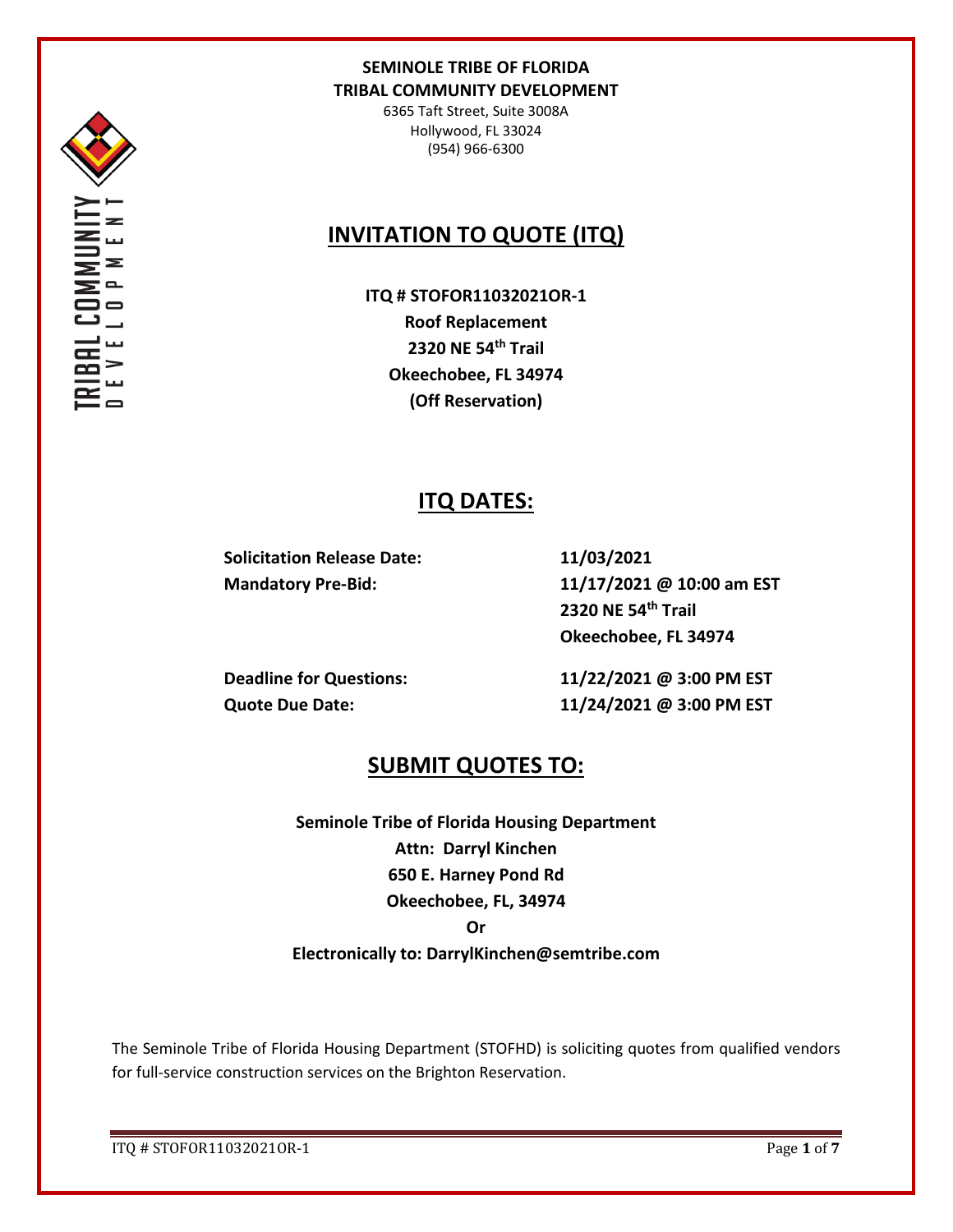

6365 Taft Street, Suite 3008A Hollywood, FL 33024 (954) 966-6300

# **INVITATION TO QUOTE (ITQ)**

**ITQ # STOFOR11032021OR-1 Roof Replacement 2320 NE 54th Trail Okeechobee, FL 34974 (Off Reservation)**

# **ITQ DATES:**

**Solicitation Release Date: 11/03/2021**

**Mandatory Pre-Bid: 11/17/2021 @ 10:00 am EST 2320 NE 54th Trail Okeechobee, FL 34974**

**Deadline for Questions: 11/22/2021 @ 3:00 PM EST Quote Due Date: 11/24/2021 @ 3:00 PM EST**

# **SUBMIT QUOTES TO:**

**Seminole Tribe of Florida Housing Department Attn: Darryl Kinchen 650 E. Harney Pond Rd Okeechobee, FL, 34974 Or Electronically to: DarrylKinchen@semtribe.com**

The Seminole Tribe of Florida Housing Department (STOFHD) is soliciting quotes from qualified vendors for full-service construction services on the Brighton Reservation.

ITQ # STOFOR11032021OR-1 Page **1** of **7**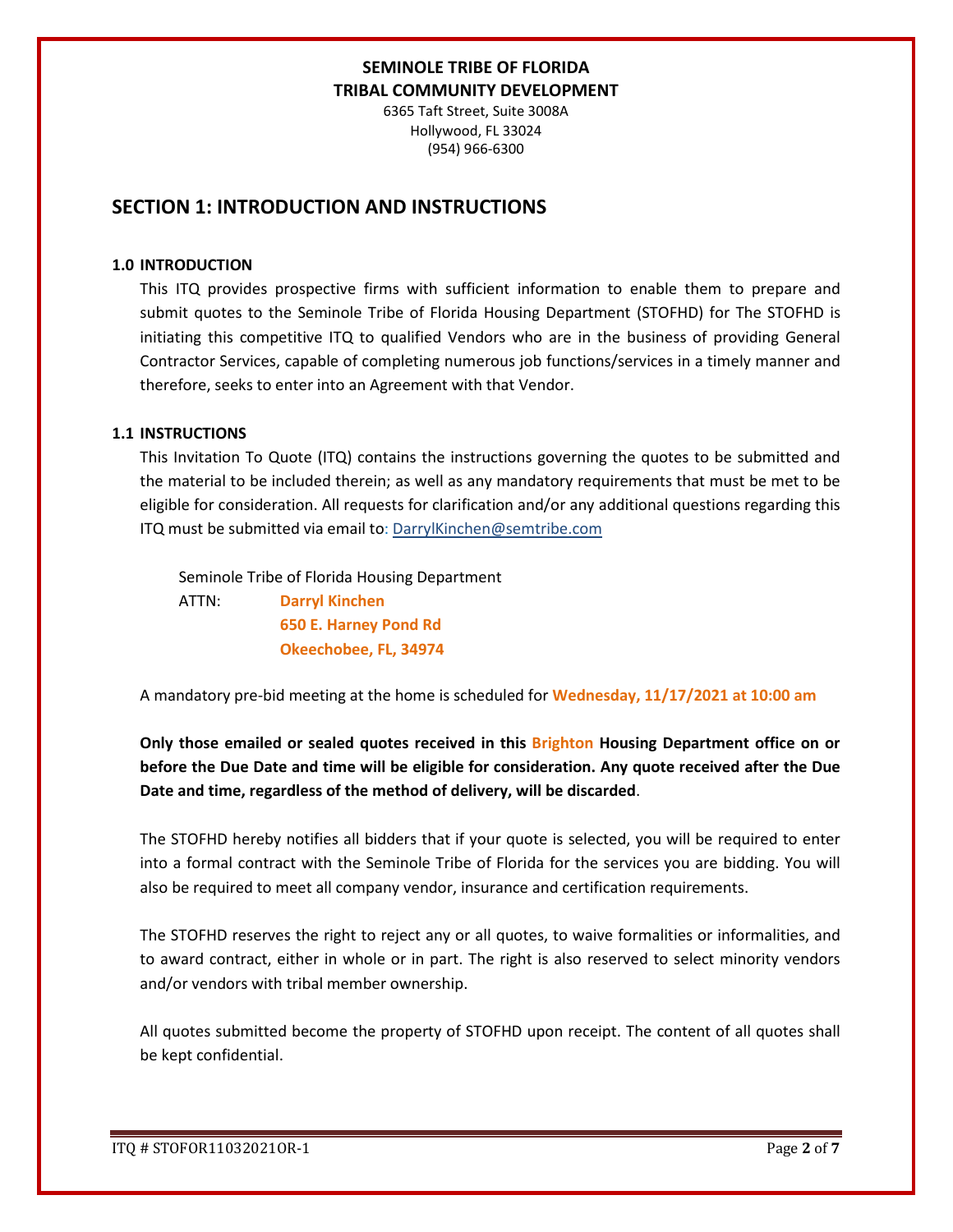6365 Taft Street, Suite 3008A Hollywood, FL 33024 (954) 966-6300

## **SECTION 1: INTRODUCTION AND INSTRUCTIONS**

#### **1.0 INTRODUCTION**

This ITQ provides prospective firms with sufficient information to enable them to prepare and submit quotes to the Seminole Tribe of Florida Housing Department (STOFHD) for The STOFHD is initiating this competitive ITQ to qualified Vendors who are in the business of providing General Contractor Services, capable of completing numerous job functions/services in a timely manner and therefore, seeks to enter into an Agreement with that Vendor.

#### **1.1 INSTRUCTIONS**

This Invitation To Quote (ITQ) contains the instructions governing the quotes to be submitted and the material to be included therein; as well as any mandatory requirements that must be met to be eligible for consideration. All requests for clarification and/or any additional questions regarding this ITQ must be submitted via email to: DarrylKinchen@semtribe.com

 Seminole Tribe of Florida Housing Department ATTN: **Darryl Kinchen**

 **650 E. Harney Pond Rd Okeechobee, FL, 34974**

A mandatory pre-bid meeting at the home is scheduled for **Wednesday, 11/17/2021 at 10:00 am**

**Only those emailed or sealed quotes received in this Brighton Housing Department office on or before the Due Date and time will be eligible for consideration. Any quote received after the Due Date and time, regardless of the method of delivery, will be discarded**.

The STOFHD hereby notifies all bidders that if your quote is selected, you will be required to enter into a formal contract with the Seminole Tribe of Florida for the services you are bidding. You will also be required to meet all company vendor, insurance and certification requirements.

The STOFHD reserves the right to reject any or all quotes, to waive formalities or informalities, and to award contract, either in whole or in part. The right is also reserved to select minority vendors and/or vendors with tribal member ownership.

All quotes submitted become the property of STOFHD upon receipt. The content of all quotes shall be kept confidential.

ITQ # STOFOR11032021OR-1 Page **2** of **7**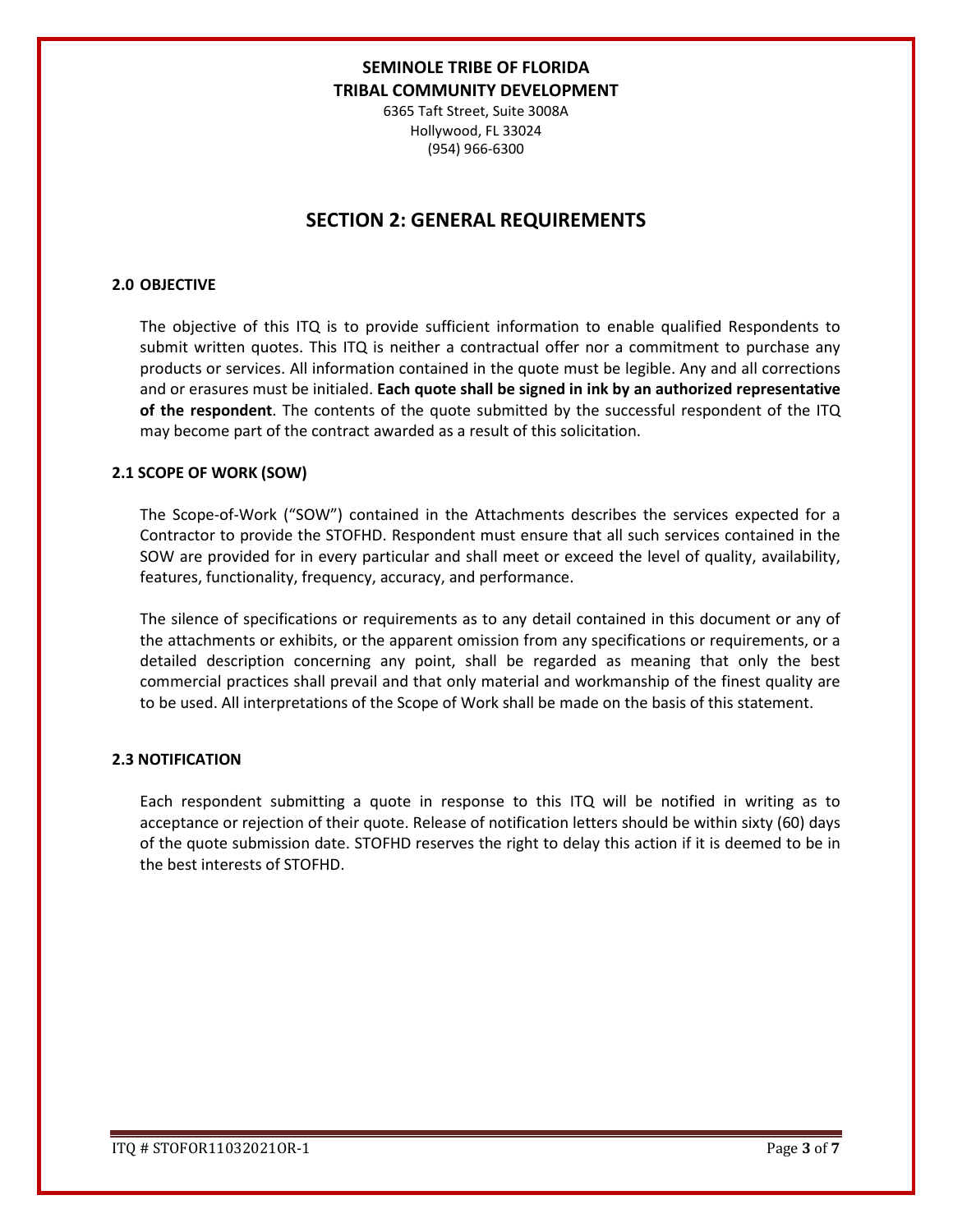6365 Taft Street, Suite 3008A Hollywood, FL 33024 (954) 966-6300

## **SECTION 2: GENERAL REQUIREMENTS**

### **2.0 OBJECTIVE**

The objective of this ITQ is to provide sufficient information to enable qualified Respondents to submit written quotes. This ITQ is neither a contractual offer nor a commitment to purchase any products or services. All information contained in the quote must be legible. Any and all corrections and or erasures must be initialed. **Each quote shall be signed in ink by an authorized representative of the respondent**. The contents of the quote submitted by the successful respondent of the ITQ may become part of the contract awarded as a result of this solicitation.

#### **2.1 SCOPE OF WORK (SOW)**

The Scope-of-Work ("SOW") contained in the Attachments describes the services expected for a Contractor to provide the STOFHD. Respondent must ensure that all such services contained in the SOW are provided for in every particular and shall meet or exceed the level of quality, availability, features, functionality, frequency, accuracy, and performance.

The silence of specifications or requirements as to any detail contained in this document or any of the attachments or exhibits, or the apparent omission from any specifications or requirements, or a detailed description concerning any point, shall be regarded as meaning that only the best commercial practices shall prevail and that only material and workmanship of the finest quality are to be used. All interpretations of the Scope of Work shall be made on the basis of this statement.

#### **2.3 NOTIFICATION**

Each respondent submitting a quote in response to this ITQ will be notified in writing as to acceptance or rejection of their quote. Release of notification letters should be within sixty (60) days of the quote submission date. STOFHD reserves the right to delay this action if it is deemed to be in the best interests of STOFHD.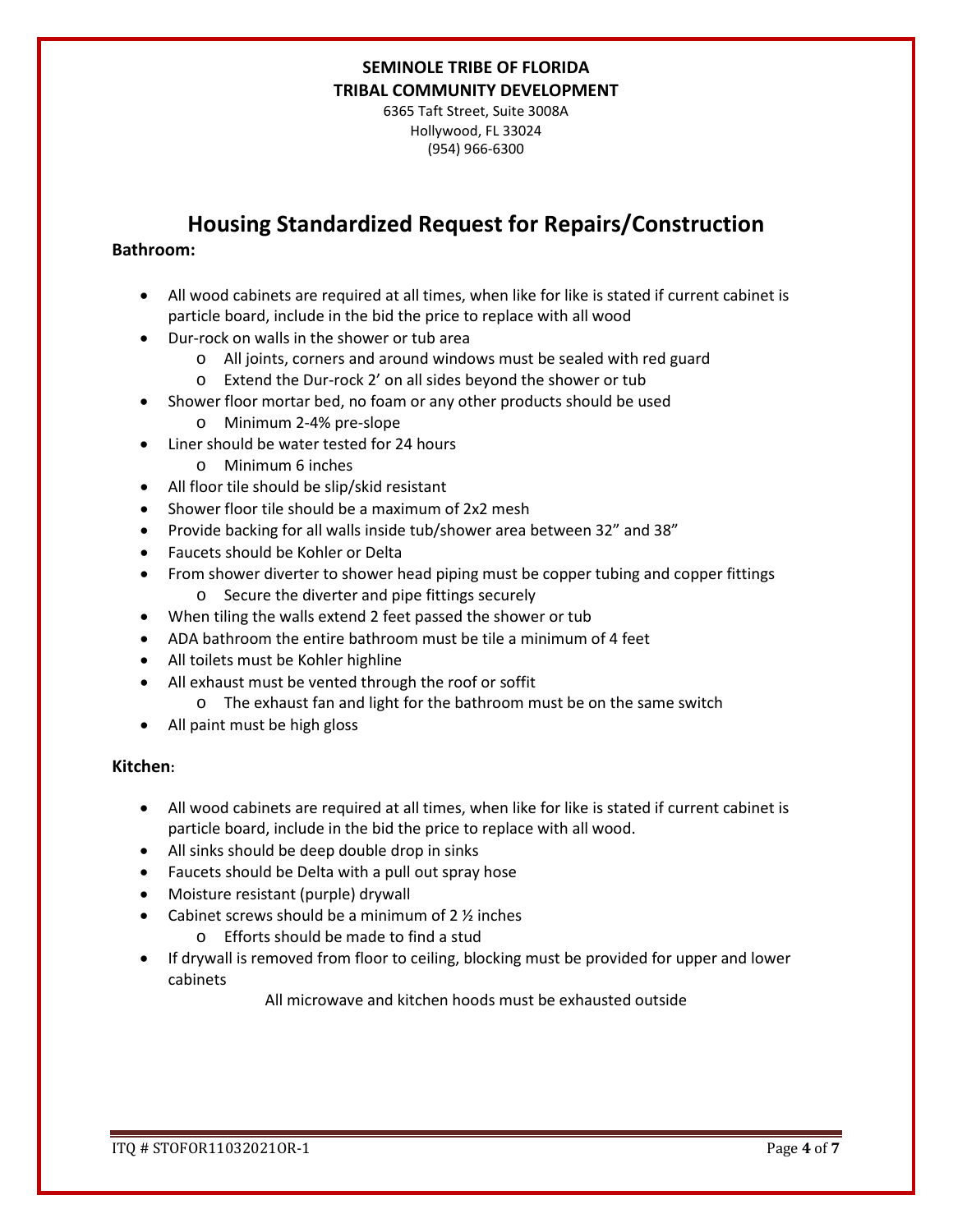6365 Taft Street, Suite 3008A Hollywood, FL 33024 (954) 966-6300

# **Housing Standardized Request for Repairs/Construction**

### **Bathroom:**

- All wood cabinets are required at all times, when like for like is stated if current cabinet is particle board, include in the bid the price to replace with all wood
- Dur-rock on walls in the shower or tub area
	- o All joints, corners and around windows must be sealed with red guard
	- o Extend the Dur-rock 2' on all sides beyond the shower or tub
- Shower floor mortar bed, no foam or any other products should be used
	- o Minimum 2-4% pre-slope
- Liner should be water tested for 24 hours
	- o Minimum 6 inches
- All floor tile should be slip/skid resistant
- Shower floor tile should be a maximum of 2x2 mesh
- Provide backing for all walls inside tub/shower area between 32" and 38"
- Faucets should be Kohler or Delta
- From shower diverter to shower head piping must be copper tubing and copper fittings o Secure the diverter and pipe fittings securely
- When tiling the walls extend 2 feet passed the shower or tub
- ADA bathroom the entire bathroom must be tile a minimum of 4 feet
- All toilets must be Kohler highline
- All exhaust must be vented through the roof or soffit
	- o The exhaust fan and light for the bathroom must be on the same switch
- All paint must be high gloss

#### **Kitchen:**

- All wood cabinets are required at all times, when like for like is stated if current cabinet is particle board, include in the bid the price to replace with all wood.
- All sinks should be deep double drop in sinks
- Faucets should be Delta with a pull out spray hose
- Moisture resistant (purple) drywall
- Cabinet screws should be a minimum of  $2\frac{1}{2}$  inches
	- o Efforts should be made to find a stud
- If drywall is removed from floor to ceiling, blocking must be provided for upper and lower cabinets

All microwave and kitchen hoods must be exhausted outside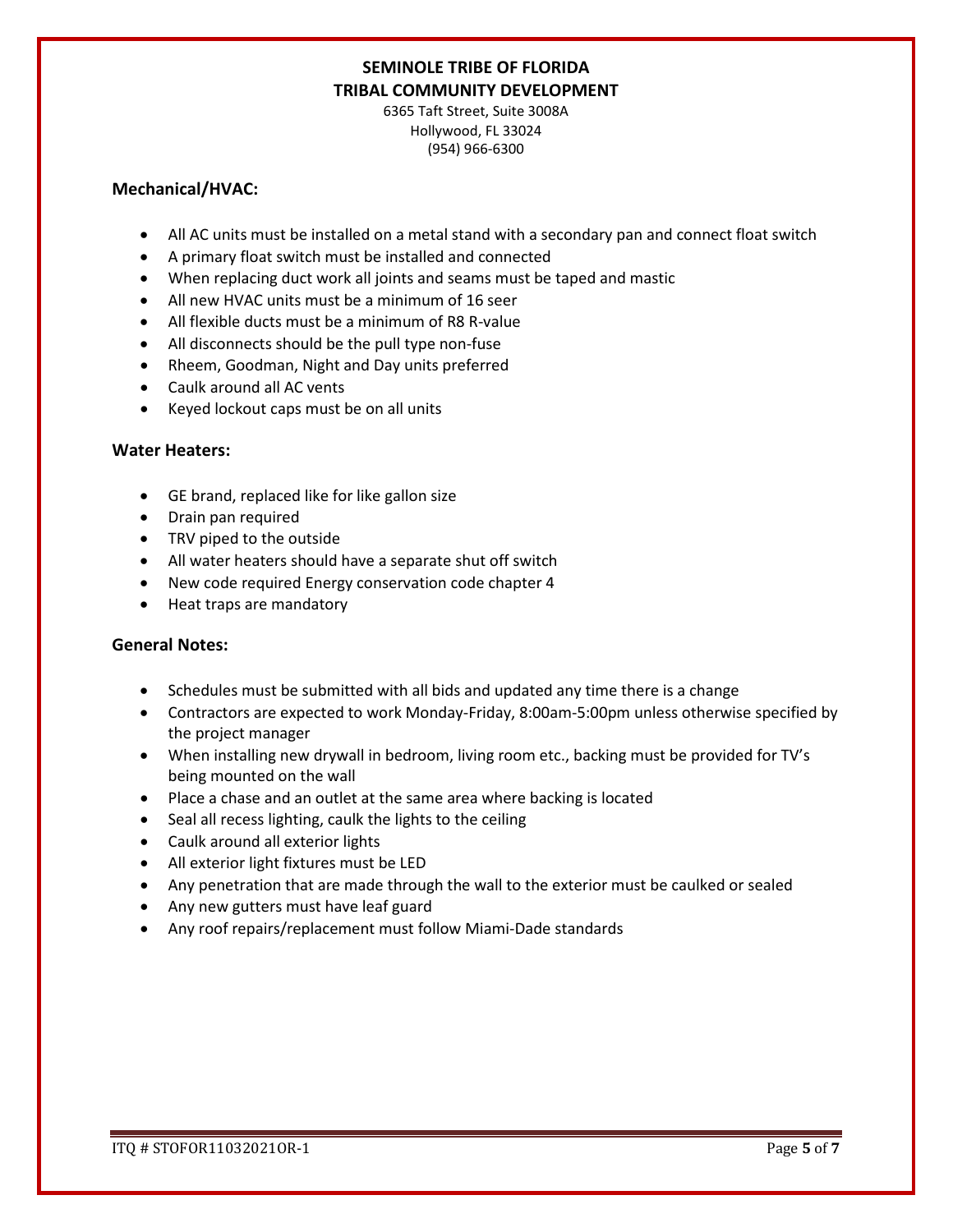6365 Taft Street, Suite 3008A Hollywood, FL 33024 (954) 966-6300

### **Mechanical/HVAC:**

- All AC units must be installed on a metal stand with a secondary pan and connect float switch
- A primary float switch must be installed and connected
- When replacing duct work all joints and seams must be taped and mastic
- All new HVAC units must be a minimum of 16 seer
- All flexible ducts must be a minimum of R8 R-value
- All disconnects should be the pull type non-fuse
- Rheem, Goodman, Night and Day units preferred
- Caulk around all AC vents
- Keyed lockout caps must be on all units

### **Water Heaters:**

- GE brand, replaced like for like gallon size
- Drain pan required
- TRV piped to the outside
- All water heaters should have a separate shut off switch
- New code required Energy conservation code chapter 4
- Heat traps are mandatory

### **General Notes:**

- Schedules must be submitted with all bids and updated any time there is a change
- Contractors are expected to work Monday-Friday, 8:00am-5:00pm unless otherwise specified by the project manager
- When installing new drywall in bedroom, living room etc., backing must be provided for TV's being mounted on the wall
- Place a chase and an outlet at the same area where backing is located
- Seal all recess lighting, caulk the lights to the ceiling
- Caulk around all exterior lights
- All exterior light fixtures must be LED
- Any penetration that are made through the wall to the exterior must be caulked or sealed
- Any new gutters must have leaf guard
- Any roof repairs/replacement must follow Miami-Dade standards